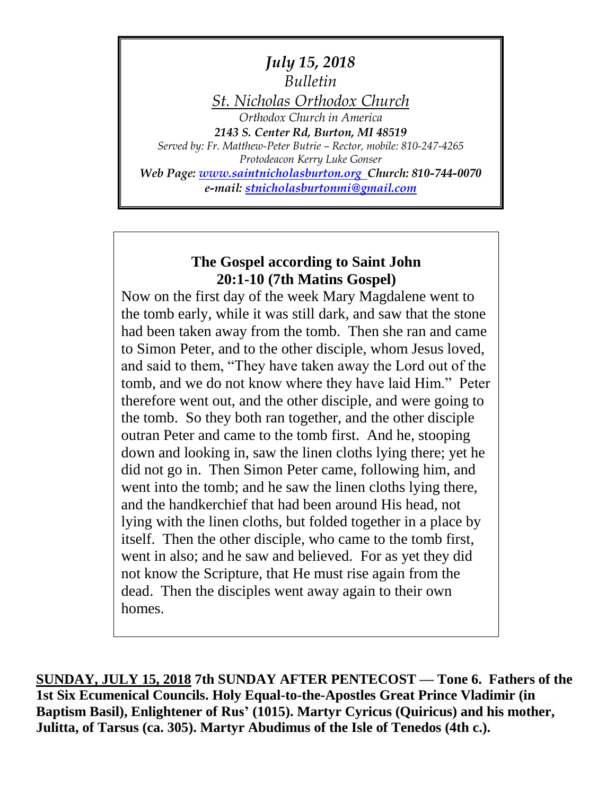*July 15, 2018 Bulletin St. Nicholas Orthodox Church Orthodox Church in America 2143 S. Center Rd, Burton, MI 48519 Served by: Fr. Matthew-Peter Butrie – Rector, mobile: 810-247-4265 Protodeacon Kerry Luke Gonser Web Page: [www.saintnicholasburton.org](http://www.saintnicholasburton.org/) Church: 810-744-0070 e-mail: [stnicholasburtonmi@gmail.com](mailto:stnicholasburtonmi@gmail.com)*

## **The Gospel according to Saint John 20:1-10 (7th Matins Gospel)**

Now on the first day of the week Mary Magdalene went to the tomb early, while it was still dark, and saw that the stone had been taken away from the tomb. Then she ran and came to Simon Peter, and to the other disciple, whom Jesus loved, and said to them, "They have taken away the Lord out of the tomb, and we do not know where they have laid Him." Peter therefore went out, and the other disciple, and were going to the tomb. So they both ran together, and the other disciple outran Peter and came to the tomb first. And he, stooping down and looking in, saw the linen cloths lying there; yet he did not go in. Then Simon Peter came, following him, and went into the tomb; and he saw the linen cloths lying there, and the handkerchief that had been around His head, not lying with the linen cloths, but folded together in a place by itself. Then the other disciple, who came to the tomb first, went in also; and he saw and believed. For as yet they did not know the Scripture, that He must rise again from the dead. Then the disciples went away again to their own homes.

**SUNDAY, JULY 15, 2018 7th SUNDAY AFTER PENTECOST — Tone 6. Fathers of the 1st Six Ecumenical Councils. Holy Equal-to-the-Apostles Great Prince Vladimir (in Baptism Basil), Enlightener of Rus' (1015). Martyr Cyricus (Quiricus) and his mother, Julitta, of Tarsus (ca. 305). Martyr Abudimus of the Isle of Tenedos (4th c.).**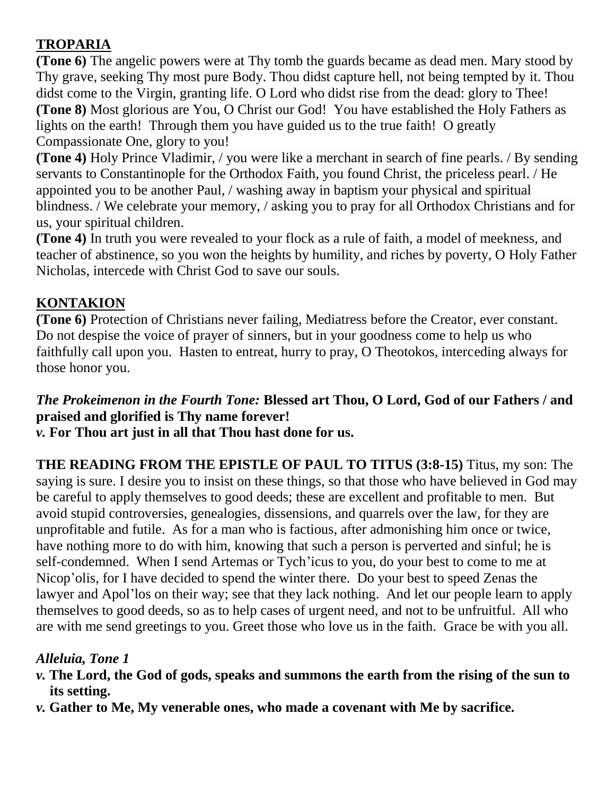# **TROPARIA**

**(Tone 6)** The angelic powers were at Thy tomb the guards became as dead men. Mary stood by Thy grave, seeking Thy most pure Body. Thou didst capture hell, not being tempted by it. Thou didst come to the Virgin, granting life. O Lord who didst rise from the dead: glory to Thee! **(Tone 8)** Most glorious are You, O Christ our God! You have established the Holy Fathers as lights on the earth! Through them you have guided us to the true faith! O greatly Compassionate One, glory to you!

**(Tone 4)** Holy Prince Vladimir, / you were like a merchant in search of fine pearls. / By sending servants to Constantinople for the Orthodox Faith, you found Christ, the priceless pearl. / He appointed you to be another Paul, / washing away in baptism your physical and spiritual blindness. / We celebrate your memory, / asking you to pray for all Orthodox Christians and for us, your spiritual children.

**(Tone 4)** In truth you were revealed to your flock as a rule of faith, a model of meekness, and teacher of abstinence, so you won the heights by humility, and riches by poverty, O Holy Father Nicholas, intercede with Christ God to save our souls.

## **KONTAKION**

**(Tone 6)** Protection of Christians never failing, Mediatress before the Creator, ever constant. Do not despise the voice of prayer of sinners, but in your goodness come to help us who faithfully call upon you. Hasten to entreat, hurry to pray, O Theotokos, interceding always for those honor you.

# *The Prokeimenon in the Fourth Tone:* **Blessed art Thou, O Lord, God of our Fathers / and praised and glorified is Thy name forever!**

*v.* **For Thou art just in all that Thou hast done for us.**

**THE READING FROM THE EPISTLE OF PAUL TO TITUS (3:8-15)** Titus, my son: The saying is sure. I desire you to insist on these things, so that those who have believed in God may be careful to apply themselves to good deeds; these are excellent and profitable to men. But avoid stupid controversies, genealogies, dissensions, and quarrels over the law, for they are unprofitable and futile. As for a man who is factious, after admonishing him once or twice, have nothing more to do with him, knowing that such a person is perverted and sinful; he is self-condemned. When I send Artemas or Tych'icus to you, do your best to come to me at Nicop'olis, for I have decided to spend the winter there. Do your best to speed Zenas the lawyer and Apol'los on their way; see that they lack nothing. And let our people learn to apply themselves to good deeds, so as to help cases of urgent need, and not to be unfruitful. All who are with me send greetings to you. Greet those who love us in the faith. Grace be with you all.

## *Alleluia, Tone 1*

- *v.* **The Lord, the God of gods, speaks and summons the earth from the rising of the sun to its setting.**
- *v.* **Gather to Me, My venerable ones, who made a covenant with Me by sacrifice.**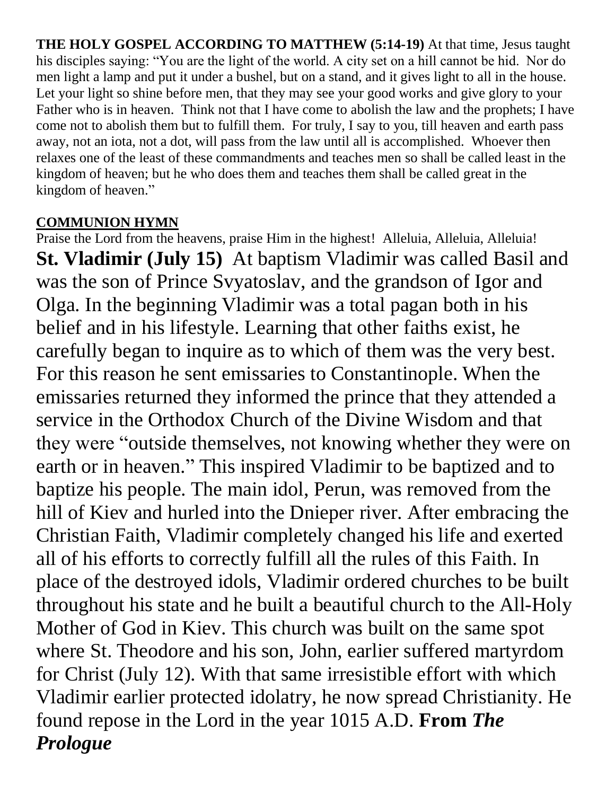**THE HOLY GOSPEL ACCORDING TO MATTHEW (5:14-19)** At that time, Jesus taught his disciples saying: "You are the light of the world. A city set on a hill cannot be hid. Nor do men light a lamp and put it under a bushel, but on a stand, and it gives light to all in the house. Let your light so shine before men, that they may see your good works and give glory to your Father who is in heaven. Think not that I have come to abolish the law and the prophets; I have come not to abolish them but to fulfill them. For truly, I say to you, till heaven and earth pass away, not an iota, not a dot, will pass from the law until all is accomplished. Whoever then relaxes one of the least of these commandments and teaches men so shall be called least in the kingdom of heaven; but he who does them and teaches them shall be called great in the kingdom of heaven."

## **COMMUNION HYMN**

Praise the Lord from the heavens, praise Him in the highest! Alleluia, Alleluia, Alleluia! **St. Vladimir (July 15)** At baptism Vladimir was called Basil and was the son of Prince Svyatoslav, and the grandson of Igor and Olga. In the beginning Vladimir was a total pagan both in his belief and in his lifestyle. Learning that other faiths exist, he carefully began to inquire as to which of them was the very best. For this reason he sent emissaries to Constantinople. When the emissaries returned they informed the prince that they attended a service in the Orthodox Church of the Divine Wisdom and that they were "outside themselves, not knowing whether they were on earth or in heaven." This inspired Vladimir to be baptized and to baptize his people. The main idol, Perun, was removed from the hill of Kiev and hurled into the Dnieper river. After embracing the Christian Faith, Vladimir completely changed his life and exerted all of his efforts to correctly fulfill all the rules of this Faith. In place of the destroyed idols, Vladimir ordered churches to be built throughout his state and he built a beautiful church to the All-Holy Mother of God in Kiev. This church was built on the same spot where St. Theodore and his son, John, earlier suffered martyrdom for Christ (July 12). With that same irresistible effort with which Vladimir earlier protected idolatry, he now spread Christianity. He found repose in the Lord in the year 1015 A.D. **From** *The Prologue*